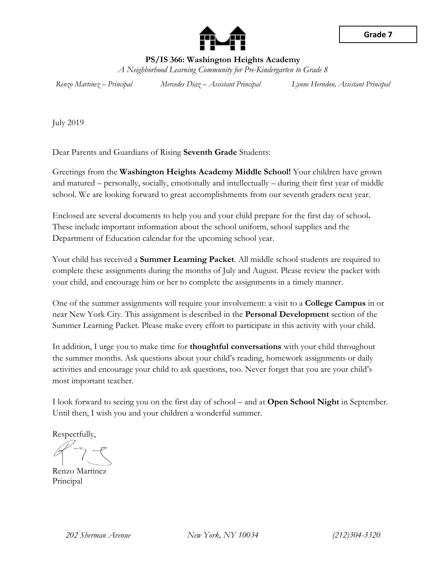

**PS/IS 366: Washington Heights Academy**

*A Neighborhood Learning Community for Pre-Kindergarten to Grade 8*

*Renzo Martinez – Principal Mercedes Diaz – Assistant Principal Lynne Herndon, Assistant Principal*

July 2019

Dear Parents and Guardians of Rising **Seventh Grade** Students:

Greetings from the **Washington Heights Academy Middle School!** Your children have grown and matured – personally, socially, emotionally and intellectually – during their first year of middle school. We are looking forward to great accomplishments from our seventh graders next year.

Enclosed are several documents to help you and your child prepare for the first day of school**.** These include important information about the school uniform, school supplies and the Department of Education calendar for the upcoming school year.

Your child has received a **Summer Learning Packet**. All middle school students are required to complete these assignments during the months of July and August. Please review the packet with your child, and encourage him or her to complete the assignments in a timely manner.

One of the summer assignments will require your involvement: a visit to a **College Campus** in or near New York City. This assignment is described in the **Personal Development** section of the Summer Learning Packet. Please make every effort to participate in this activity with your child.

In addition, I urge you to make time for **thoughtful conversations** with your child throughout the summer months. Ask questions about your child's reading, homework assignments or daily activities and encourage your child to ask questions, too. Never forget that you are your child's most important teacher.

I look forward to seeing you on the first day of school – and at **Open School Night** in September. Until then, I wish you and your children a wonderful summer.

Respectfully,

Renzo Martinez Principal